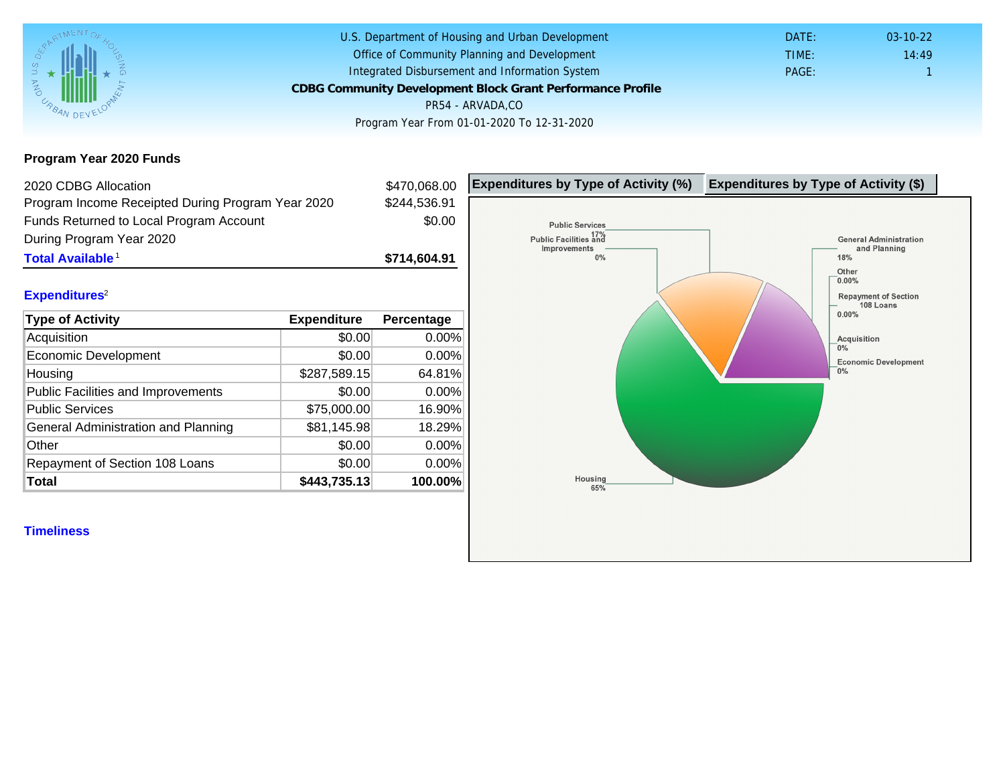Program Year 2020 Funds

| 2020 CDBG Allocation                              |              | \$470,068.00 | Expenditures by Type of Activity (%) | Expenditure |
|---------------------------------------------------|--------------|--------------|--------------------------------------|-------------|
| Program Income Receipted During Program Year 2020 |              | \$244,536.91 |                                      |             |
| Funds Returned to Local Program Account           |              | \$0.00       |                                      |             |
| During Program Year 2020                          |              |              |                                      |             |
| Total Available <sup>1</sup>                      |              | \$714,604.91 |                                      |             |
|                                                   |              |              |                                      |             |
| Expenditures <sup>2</sup>                         |              |              |                                      |             |
| Type of Activity                                  | Expenditure  | Percentage   |                                      |             |
| Acquisition                                       | \$0.00       | $0.00\%$     |                                      |             |
| Economic Development                              | \$0.00       | 0.00%        |                                      |             |
| Housing                                           | \$287,589.15 | 64.81%       |                                      |             |
| <b>Public Facilities and Improvements</b>         | \$0.00       | 0.00%        |                                      |             |
| <b>Public Services</b>                            | \$75,000.00  | 16.90%       |                                      |             |
| General Administration and Planning               | \$81,145.98  | 18.29%       |                                      |             |
| Other                                             | \$0.00       | 0.00%        |                                      |             |
| Repayment of Section 108 Loans                    | \$0.00       | $0.00\%$     |                                      |             |
| Total                                             | \$443,735.13 | 100.00%      |                                      |             |
|                                                   |              |              |                                      |             |
| <b>Timeliness</b>                                 |              |              |                                      |             |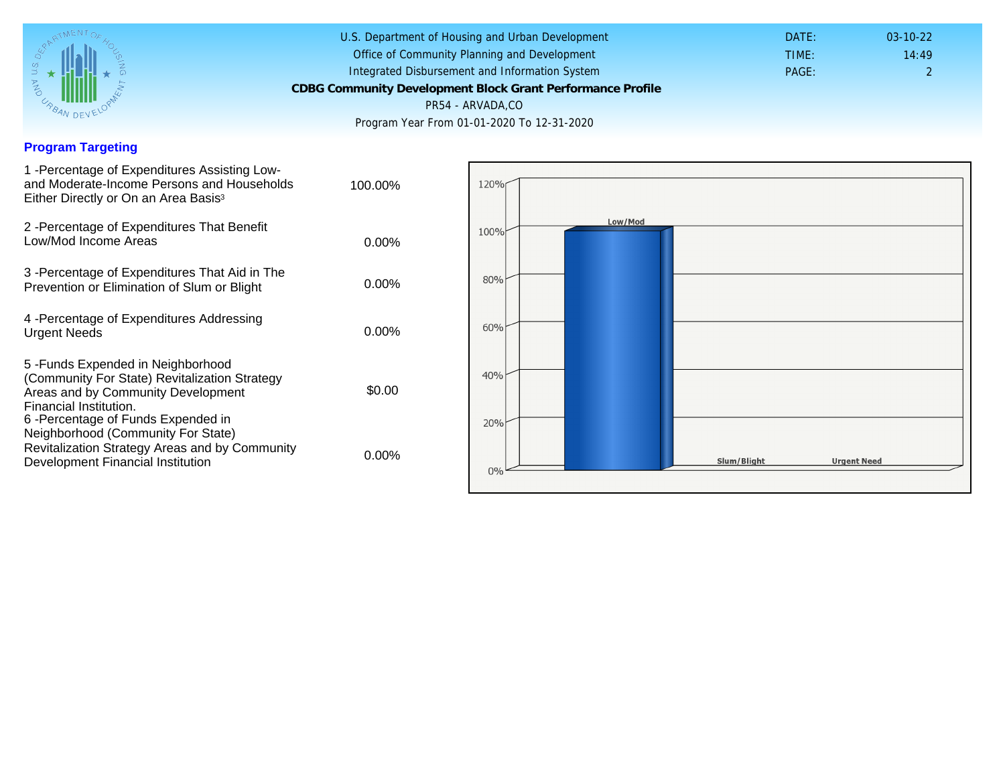## Program Targeting

| 1 -Percentage of Expenditures Assisting Low-<br>and Moderate-Income Persons and Households<br>Either Directly or On an Area Basis <sup>3</sup>                                                                               | 100.00%  |
|------------------------------------------------------------------------------------------------------------------------------------------------------------------------------------------------------------------------------|----------|
| 2 - Percentage of Expenditures That Benefit<br>Low/Mod Income Areas                                                                                                                                                          | $0.00\%$ |
| 3 - Percentage of Expenditures That Aid in The<br>Prevention or Elimination of Slum or Blight                                                                                                                                | $0.00\%$ |
| 4 - Percentage of Expenditures Addressing<br><b>Urgent Needs</b>                                                                                                                                                             | $0.00\%$ |
| 5-Funds Expended in Neighborhood<br>(Community For State) Revitalization Strategy<br>Areas and by Community Development<br>Financial Institution.<br>6-Percentage of Funds Expended in<br>Neighborhood (Community For State) | \$0.00   |
| Revitalization Strategy Areas and by Community<br>Development Financial Institution                                                                                                                                          | 0.00%    |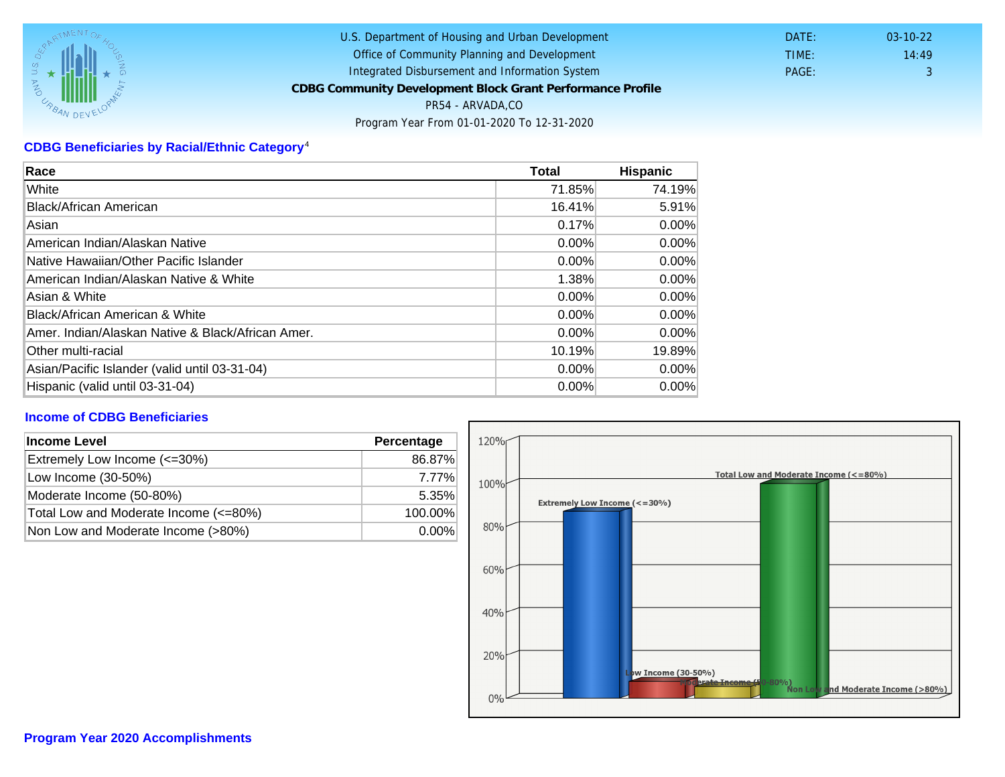## CDBG Beneficiaries by Racial/Ethnic Category <sup>4</sup>

| Race                                              | Total    | Hispanic |
|---------------------------------------------------|----------|----------|
| White                                             | 71.85%   | 74.19%   |
| Black/African American                            | 16.41%   | 5.91%    |
| Asian                                             | 0.17%    | $0.00\%$ |
| IAmerican Indian/Alaskan Native                   | 0.00%    | $0.00\%$ |
| lNative Hawaiian/Other Pacific Islander           | $0.00\%$ | $0.00\%$ |
| American Indian/Alaskan Native & White            | 1.38%    | $0.00\%$ |
| Asian & White                                     | 0.00%    | 0.00%    |
| Black/African American & White                    | 0.00%    | $0.00\%$ |
| Amer. Indian/Alaskan Native & Black/African Amer. | $0.00\%$ | $0.00\%$ |
| <b>Other multi-racial</b>                         | 10.19%   | 19.89%   |
| Asian/Pacific Islander (valid until 03-31-04)     | 0.00%    | 0.00%    |
| Hispanic (valid until 03-31-04)                   | 0.00%    | 0.00%    |

## Income of CDBG Beneficiaries

| Income Level                          | Percentage |
|---------------------------------------|------------|
| Extremely Low Income (<=30%)          | 86.87%     |
| Low Income (30-50%)                   | 7.77%      |
| Moderate Income (50-80%)              | 5.35%      |
| Total Low and Moderate Income (<=80%) | 100.00%    |
| Non Low and Moderate Income (>80%)    | $0.00\%$   |